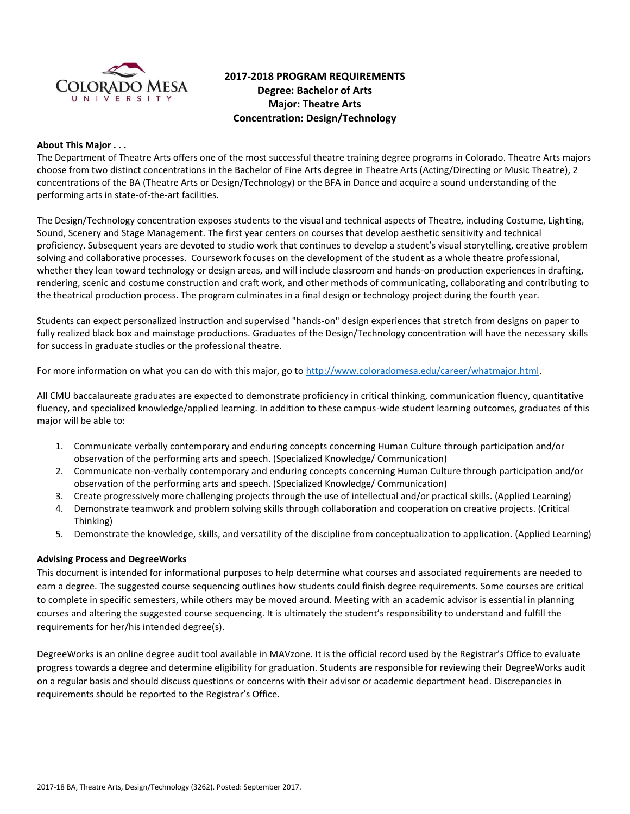

# **2017-2018 PROGRAM REQUIREMENTS Degree: Bachelor of Arts Major: Theatre Arts Concentration: Design/Technology**

### **About This Major . . .**

The Department of Theatre Arts offers one of the most successful theatre training degree programs in Colorado. Theatre Arts majors choose from two distinct concentrations in the Bachelor of Fine Arts degree in Theatre Arts (Acting/Directing or Music Theatre), 2 concentrations of the BA (Theatre Arts or Design/Technology) or the BFA in Dance and acquire a sound understanding of the performing arts in state-of-the-art facilities.

The Design/Technology concentration exposes students to the visual and technical aspects of Theatre, including Costume, Lighting, Sound, Scenery and Stage Management. The first year centers on courses that develop aesthetic sensitivity and technical proficiency. Subsequent years are devoted to studio work that continues to develop a student's visual storytelling, creative problem solving and collaborative processes. Coursework focuses on the development of the student as a whole theatre professional, whether they lean toward technology or design areas, and will include classroom and hands-on production experiences in drafting, rendering, scenic and costume construction and craft work, and other methods of communicating, collaborating and contributing to the theatrical production process. The program culminates in a final design or technology project during the fourth year.

Students can expect personalized instruction and supervised "hands-on" design experiences that stretch from designs on paper to fully realized black box and mainstage productions. Graduates of the Design/Technology concentration will have the necessary skills for success in graduate studies or the professional theatre.

For more information on what you can do with this major, go to [http://www.coloradomesa.edu/career/whatmajor.html.](http://www.coloradomesa.edu/career/whatmajor.html)

All CMU baccalaureate graduates are expected to demonstrate proficiency in critical thinking, communication fluency, quantitative fluency, and specialized knowledge/applied learning. In addition to these campus-wide student learning outcomes, graduates of this major will be able to:

- 1. Communicate verbally contemporary and enduring concepts concerning Human Culture through participation and/or observation of the performing arts and speech. (Specialized Knowledge/ Communication)
- 2. Communicate non-verbally contemporary and enduring concepts concerning Human Culture through participation and/or observation of the performing arts and speech. (Specialized Knowledge/ Communication)
- 3. Create progressively more challenging projects through the use of intellectual and/or practical skills. (Applied Learning)
- 4. Demonstrate teamwork and problem solving skills through collaboration and cooperation on creative projects. (Critical Thinking)
- 5. Demonstrate the knowledge, skills, and versatility of the discipline from conceptualization to application. (Applied Learning)

### **Advising Process and DegreeWorks**

This document is intended for informational purposes to help determine what courses and associated requirements are needed to earn a degree. The suggested course sequencing outlines how students could finish degree requirements. Some courses are critical to complete in specific semesters, while others may be moved around. Meeting with an academic advisor is essential in planning courses and altering the suggested course sequencing. It is ultimately the student's responsibility to understand and fulfill the requirements for her/his intended degree(s).

DegreeWorks is an online degree audit tool available in MAVzone. It is the official record used by the Registrar's Office to evaluate progress towards a degree and determine eligibility for graduation. Students are responsible for reviewing their DegreeWorks audit on a regular basis and should discuss questions or concerns with their advisor or academic department head. Discrepancies in requirements should be reported to the Registrar's Office.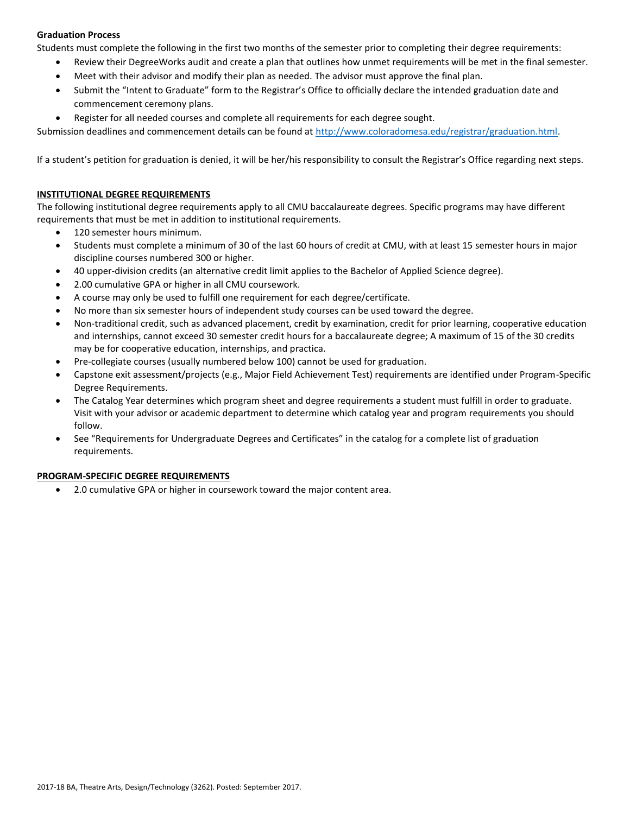### **Graduation Process**

Students must complete the following in the first two months of the semester prior to completing their degree requirements:

- Review their DegreeWorks audit and create a plan that outlines how unmet requirements will be met in the final semester.
- Meet with their advisor and modify their plan as needed. The advisor must approve the final plan.
- Submit the "Intent to Graduate" form to the Registrar's Office to officially declare the intended graduation date and commencement ceremony plans.
- Register for all needed courses and complete all requirements for each degree sought.

Submission deadlines and commencement details can be found at [http://www.coloradomesa.edu/registrar/graduation.html.](http://www.coloradomesa.edu/registrar/graduation.html)

If a student's petition for graduation is denied, it will be her/his responsibility to consult the Registrar's Office regarding next steps.

### **INSTITUTIONAL DEGREE REQUIREMENTS**

The following institutional degree requirements apply to all CMU baccalaureate degrees. Specific programs may have different requirements that must be met in addition to institutional requirements.

- 120 semester hours minimum.
- Students must complete a minimum of 30 of the last 60 hours of credit at CMU, with at least 15 semester hours in major discipline courses numbered 300 or higher.
- 40 upper-division credits (an alternative credit limit applies to the Bachelor of Applied Science degree).
- 2.00 cumulative GPA or higher in all CMU coursework.
- A course may only be used to fulfill one requirement for each degree/certificate.
- No more than six semester hours of independent study courses can be used toward the degree.
- Non-traditional credit, such as advanced placement, credit by examination, credit for prior learning, cooperative education and internships, cannot exceed 30 semester credit hours for a baccalaureate degree; A maximum of 15 of the 30 credits may be for cooperative education, internships, and practica.
- Pre-collegiate courses (usually numbered below 100) cannot be used for graduation.
- Capstone exit assessment/projects (e.g., Major Field Achievement Test) requirements are identified under Program-Specific Degree Requirements.
- The Catalog Year determines which program sheet and degree requirements a student must fulfill in order to graduate. Visit with your advisor or academic department to determine which catalog year and program requirements you should follow.
- See "Requirements for Undergraduate Degrees and Certificates" in the catalog for a complete list of graduation requirements.

### **PROGRAM-SPECIFIC DEGREE REQUIREMENTS**

2.0 cumulative GPA or higher in coursework toward the major content area.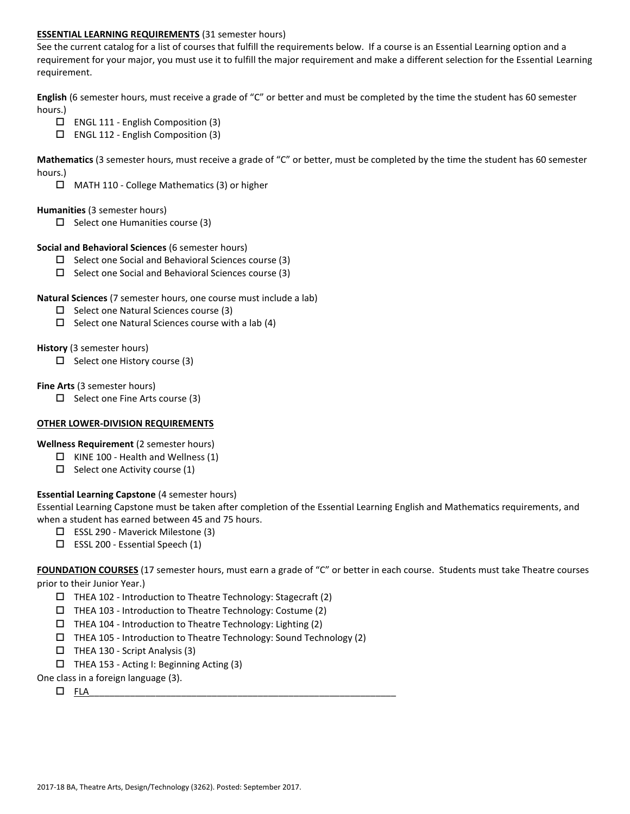### **ESSENTIAL LEARNING REQUIREMENTS** (31 semester hours)

See the current catalog for a list of courses that fulfill the requirements below. If a course is an Essential Learning option and a requirement for your major, you must use it to fulfill the major requirement and make a different selection for the Essential Learning requirement.

**English** (6 semester hours, must receive a grade of "C" or better and must be completed by the time the student has 60 semester hours.)

- ENGL 111 English Composition (3)
- $\Box$  ENGL 112 English Composition (3)

**Mathematics** (3 semester hours, must receive a grade of "C" or better, must be completed by the time the student has 60 semester hours.)

MATH 110 - College Mathematics (3) or higher

#### **Humanities** (3 semester hours)

 $\Box$  Select one Humanities course (3)

#### **Social and Behavioral Sciences** (6 semester hours)

- $\Box$  Select one Social and Behavioral Sciences course (3)
- $\Box$  Select one Social and Behavioral Sciences course (3)

### **Natural Sciences** (7 semester hours, one course must include a lab)

- $\square$  Select one Natural Sciences course (3)
- $\Box$  Select one Natural Sciences course with a lab (4)

### **History** (3 semester hours)

 $\Box$  Select one History course (3)

### **Fine Arts** (3 semester hours)

 $\Box$  Select one Fine Arts course (3)

### **OTHER LOWER-DIVISION REQUIREMENTS**

**Wellness Requirement** (2 semester hours)

- $\Box$  KINE 100 Health and Wellness (1)
- $\Box$  Select one Activity course (1)

### **Essential Learning Capstone** (4 semester hours)

Essential Learning Capstone must be taken after completion of the Essential Learning English and Mathematics requirements, and when a student has earned between 45 and 75 hours.

- ESSL 290 Maverick Milestone (3)
- $\square$  ESSL 200 Essential Speech (1)

**FOUNDATION COURSES** (17 semester hours, must earn a grade of "C" or better in each course. Students must take Theatre courses prior to their Junior Year.)

- $\Box$  THEA 102 Introduction to Theatre Technology: Stagecraft (2)
- THEA 103 Introduction to Theatre Technology: Costume (2)
- $\Box$  THEA 104 Introduction to Theatre Technology: Lighting (2)
- $\Box$  THEA 105 Introduction to Theatre Technology: Sound Technology (2)
- $\Box$  THEA 130 Script Analysis (3)
- $\Box$  THEA 153 Acting I: Beginning Acting (3)

#### One class in a foreign language (3).

FLA\_\_\_\_\_\_\_\_\_\_\_\_\_\_\_\_\_\_\_\_\_\_\_\_\_\_\_\_\_\_\_\_\_\_\_\_\_\_\_\_\_\_\_\_\_\_\_\_\_\_\_\_\_\_\_\_\_\_\_\_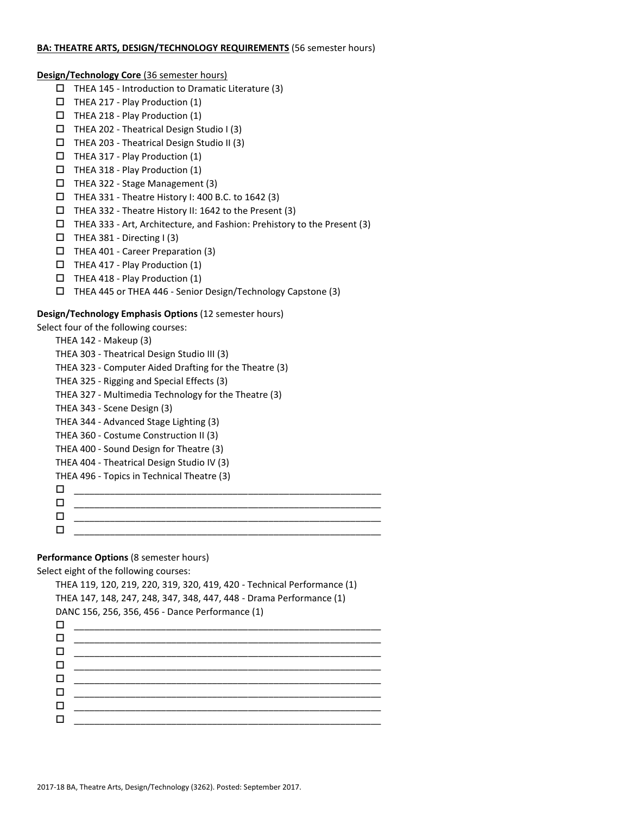#### **BA: THEATRE ARTS, DESIGN/TECHNOLOGY REQUIREMENTS** (56 semester hours)

#### **Design/Technology Core** (36 semester hours)

- $\Box$  THEA 145 Introduction to Dramatic Literature (3)
- $\Box$  THEA 217 Play Production (1)
- $\Box$  THEA 218 Play Production (1)
- THEA 202 Theatrical Design Studio I (3)
- $\Box$  THEA 203 Theatrical Design Studio II (3)
- $\Box$  THEA 317 Play Production (1)
- $\Box$  THEA 318 Play Production (1)
- THEA 322 Stage Management (3)
- THEA 331 Theatre History I: 400 B.C. to 1642 (3)
- $\Box$  THEA 332 Theatre History II: 1642 to the Present (3)
- $\Box$  THEA 333 Art, Architecture, and Fashion: Prehistory to the Present (3)
- $\Box$  THEA 381 Directing I (3)
- $\Box$  THEA 401 Career Preparation (3)
- $\Box$  THEA 417 Play Production (1)
- $\Box$  THEA 418 Play Production (1)
- THEA 445 or THEA 446 Senior Design/Technology Capstone (3)

### **Design/Technology Emphasis Options** (12 semester hours)

Select four of the following courses:

- THEA 142 Makeup (3)
- THEA 303 Theatrical Design Studio III (3)
- THEA 323 Computer Aided Drafting for the Theatre (3)
- THEA 325 Rigging and Special Effects (3)
- THEA 327 Multimedia Technology for the Theatre (3)
- THEA 343 Scene Design (3)
- THEA 344 Advanced Stage Lighting (3)
- THEA 360 Costume Construction II (3)
- THEA 400 Sound Design for Theatre (3)
- THEA 404 Theatrical Design Studio IV (3)
- THEA 496 Topics in Technical Theatre (3)
- \_\_\_\_\_\_\_\_\_\_\_\_\_\_\_\_\_\_\_\_\_\_\_\_\_\_\_\_\_\_\_\_\_\_\_\_\_\_\_\_\_\_\_\_\_\_\_\_\_\_\_\_\_\_\_\_\_\_\_\_ \_\_\_\_\_\_\_\_\_\_\_\_\_\_\_\_\_\_\_\_\_\_\_\_\_\_\_\_\_\_\_\_\_\_\_\_\_\_\_\_\_\_\_\_\_\_\_\_\_\_\_\_\_\_\_\_\_\_\_\_
- 
- \_\_\_\_\_\_\_\_\_\_\_\_\_\_\_\_\_\_\_\_\_\_\_\_\_\_\_\_\_\_\_\_\_\_\_\_\_\_\_\_\_\_\_\_\_\_\_\_\_\_\_\_\_\_\_\_\_\_\_\_  $\Box$   $\underline{\hspace{1cm}}$   $\underline{\hspace{1cm}}$   $\underline{\hspace{1cm}}$   $\underline{\hspace{1cm}}$   $\overline{\hspace{1cm}}$   $\overline{\hspace{1cm}}$   $\overline{\hspace{1cm}}$   $\overline{\hspace{1cm}}$   $\overline{\hspace{1cm}}$   $\overline{\hspace{1cm}}$   $\overline{\hspace{1cm}}$   $\overline{\hspace{1cm}}$   $\overline{\hspace{1cm}}$   $\overline{\hspace{1cm}}$   $\overline{\hspace{1cm}}$   $\overline{\hspace{1cm}}$   $\overline{\hspace{1$

### **Performance Options** (8 semester hours)

Select eight of the following courses:

| THEA 119, 120, 219, 220, 319, 320, 419, 420 - Technical Performance (1)<br>THEA 147, 148, 247, 248, 347, 348, 447, 448 - Drama Performance (1) |  |  |  |
|------------------------------------------------------------------------------------------------------------------------------------------------|--|--|--|
| DANC 156, 256, 356, 456 - Dance Performance (1)                                                                                                |  |  |  |
| □<br>the control of the control of the control of the control of the control of the control of                                                 |  |  |  |
| □                                                                                                                                              |  |  |  |
| □                                                                                                                                              |  |  |  |
| □                                                                                                                                              |  |  |  |
| □                                                                                                                                              |  |  |  |
| □                                                                                                                                              |  |  |  |
| □                                                                                                                                              |  |  |  |
|                                                                                                                                                |  |  |  |
|                                                                                                                                                |  |  |  |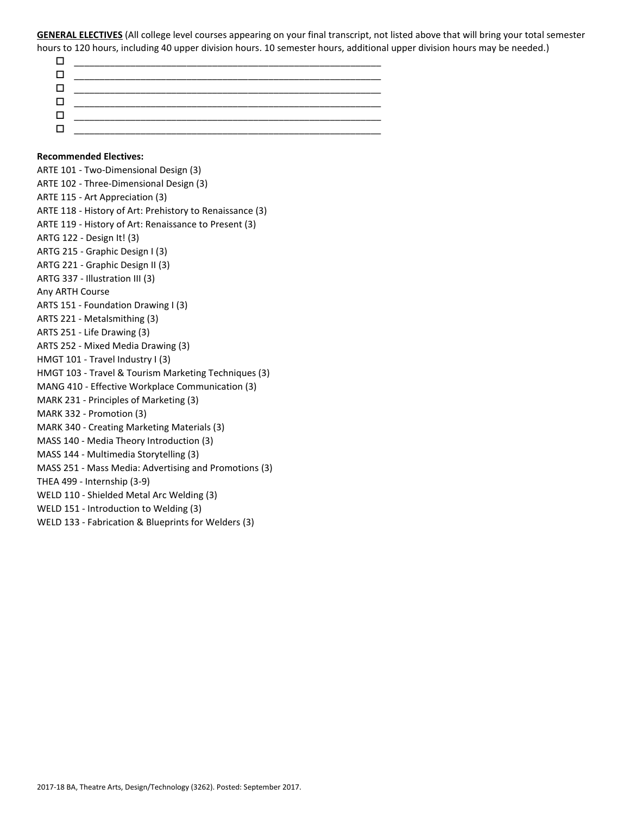**GENERAL ELECTIVES** (All college level courses appearing on your final transcript, not listed above that will bring your total semester hours to 120 hours, including 40 upper division hours. 10 semester hours, additional upper division hours may be needed.)

| المناصب المستناقص المستناس المستناق المستناق المستناس المستناق المستناق المستناق المستناق المستناق المستناقات المناقب<br>________ | ________ |
|-----------------------------------------------------------------------------------------------------------------------------------|----------|
|                                                                                                                                   |          |
|                                                                                                                                   |          |
|                                                                                                                                   |          |
|                                                                                                                                   |          |
|                                                                                                                                   |          |

#### **Recommended Electives:**

ARTE 101 - Two-Dimensional Design (3) ARTE 102 - Three-Dimensional Design (3) ARTE 115 - Art Appreciation (3) ARTE 118 - History of Art: Prehistory to Renaissance (3) ARTE 119 - History of Art: Renaissance to Present (3) ARTG 122 - Design It! (3) ARTG 215 - Graphic Design I (3) ARTG 221 - Graphic Design II (3) ARTG 337 - Illustration III (3) Any ARTH Course ARTS 151 - Foundation Drawing I (3) ARTS 221 - Metalsmithing (3) ARTS 251 - Life Drawing (3) ARTS 252 - Mixed Media Drawing (3) HMGT 101 - Travel Industry I (3) HMGT 103 - Travel & Tourism Marketing Techniques (3) MANG 410 - Effective Workplace Communication (3) MARK 231 - Principles of Marketing (3) MARK 332 - Promotion (3) MARK 340 - Creating Marketing Materials (3) MASS 140 - Media Theory Introduction (3) MASS 144 - Multimedia Storytelling (3) MASS 251 - Mass Media: Advertising and Promotions (3) THEA 499 - Internship (3-9) WELD 110 - Shielded Metal Arc Welding (3) WELD 151 - Introduction to Welding (3) WELD 133 - Fabrication & Blueprints for Welders (3)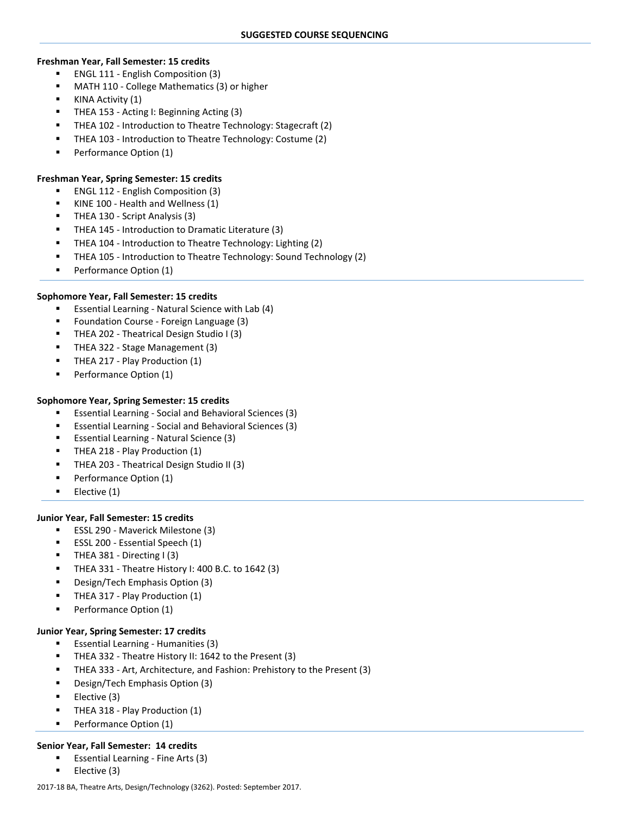### **Freshman Year, Fall Semester: 15 credits**

- ENGL 111 English Composition (3)
- MATH 110 College Mathematics (3) or higher
- KINA Activity (1)
- THEA 153 Acting I: Beginning Acting (3)
- THEA 102 Introduction to Theatre Technology: Stagecraft (2)
- THEA 103 Introduction to Theatre Technology: Costume (2)
- Performance Option (1)

### **Freshman Year, Spring Semester: 15 credits**

- **ENGL 112 English Composition (3)**
- KINE 100 Health and Wellness (1)
- THEA 130 Script Analysis (3)
- THEA 145 Introduction to Dramatic Literature (3)
- THEA 104 Introduction to Theatre Technology: Lighting (2)
- THEA 105 Introduction to Theatre Technology: Sound Technology (2)
- Performance Option (1)

## **Sophomore Year, Fall Semester: 15 credits**

- **Essential Learning Natural Science with Lab (4)**
- Foundation Course Foreign Language (3)
- THEA 202 Theatrical Design Studio I (3)
- THEA 322 Stage Management (3)
- THEA 217 Play Production (1)
- **Performance Option (1)**

### **Sophomore Year, Spring Semester: 15 credits**

- Essential Learning Social and Behavioral Sciences (3)
- Essential Learning Social and Behavioral Sciences (3)
- Essential Learning Natural Science (3)
- THEA 218 Play Production (1)
- THEA 203 Theatrical Design Studio II (3)
- Performance Option (1)
- Elective (1)

### **Junior Year, Fall Semester: 15 credits**

- ESSL 290 Maverick Milestone (3)
- ESSL 200 Essential Speech (1)
- THEA 381 Directing I (3)
- THEA 331 Theatre History I: 400 B.C. to 1642 (3)
- **•** Design/Tech Emphasis Option (3)
- THEA 317 Play Production (1)
- **Performance Option (1)**

### **Junior Year, Spring Semester: 17 credits**

- **E**ssential Learning Humanities (3)
- THEA 332 Theatre History II: 1642 to the Present (3)
- THEA 333 Art, Architecture, and Fashion: Prehistory to the Present (3)
- Design/Tech Emphasis Option (3)
- Elective (3)
- **THEA 318 Play Production (1)**
- **Performance Option (1)**

### **Senior Year, Fall Semester: 14 credits**

- **Essential Learning Fine Arts (3)**
- $\blacksquare$  Elective (3)

2017-18 BA, Theatre Arts, Design/Technology (3262). Posted: September 2017.